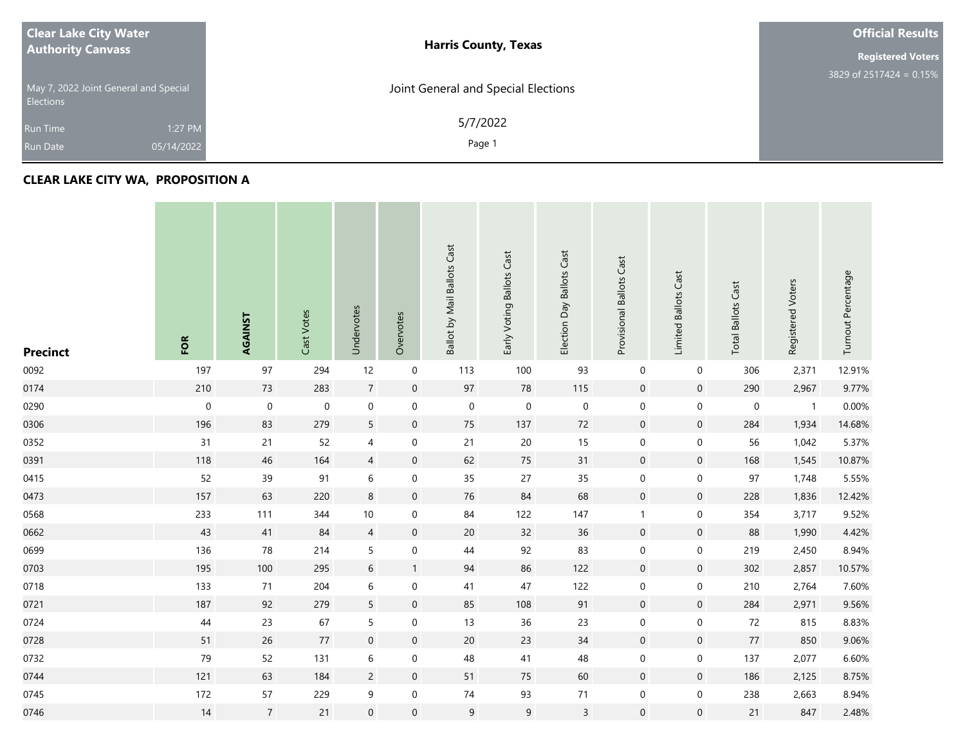| <b>Clear Lake City Water</b>                              | <b>Harris County, Texas</b>         | <b>Official Results</b>   |
|-----------------------------------------------------------|-------------------------------------|---------------------------|
| <b>Authority Canvass</b>                                  |                                     |                           |
| May 7, 2022 Joint General and Special<br><b>Elections</b> | Joint General and Special Elections | $3829$ of 2517424 = 0.15% |
| 1:27 PM<br><b>Run Time</b>                                | 5/7/2022                            |                           |
| 05/14/2022<br><b>Run Date</b>                             | Page 1                              |                           |

## **CLEAR LAKE CITY WA, PROPOSITION A**

| <b>Precinct</b> | FOR         | AGAINST          | Cast Votes | Undervotes       | Overvotes           | Ballot by Mail Ballots Cast | Early Voting Ballots Cast | Election Day Ballots Cast | Provisional Ballots Cast | Limited Ballots Cast | <b>Total Ballots Cast</b> | Registered Voters | Turnout Percentage |
|-----------------|-------------|------------------|------------|------------------|---------------------|-----------------------------|---------------------------|---------------------------|--------------------------|----------------------|---------------------------|-------------------|--------------------|
| 0092            | 197         | 97               | 294        | 12               | $\boldsymbol{0}$    | 113                         | 100                       | 93                        | $\pmb{0}$                | $\boldsymbol{0}$     | 306                       | 2,371             | 12.91%             |
| 0174            | 210         | 73               | 283        | $\sqrt{7}$       | $\mathbf 0$         | 97                          | ${\bf 78}$                | 115                       | $\mathsf{O}\xspace$      | $\mathsf{O}\xspace$  | 290                       | 2,967             | 9.77%              |
| 0290            | $\mathbf 0$ | $\pmb{0}$        | $\pmb{0}$  | $\boldsymbol{0}$ | $\mathbf 0$         | $\boldsymbol{0}$            | $\boldsymbol{0}$          | $\boldsymbol{0}$          | $\mathbf 0$              | $\mathbf 0$          | $\pmb{0}$                 | $\overline{1}$    | 0.00%              |
| 0306            | 196         | 83               | 279        | 5                | $\mathsf{O}\xspace$ | 75                          | 137                       | 72                        | $\mathsf{O}\xspace$      | $\mathsf{O}\xspace$  | 284                       | 1,934             | 14.68%             |
| 0352            | 31          | 21               | 52         | $\overline{4}$   | $\boldsymbol{0}$    | 21                          | $20\,$                    | 15                        | $\mathbf 0$              | 0                    | 56                        | 1,042             | 5.37%              |
| 0391            | 118         | 46               | 164        | $\overline{4}$   | $\pmb{0}$           | 62                          | 75                        | 31                        | $\mathsf{O}\xspace$      | $\mathsf{O}\xspace$  | 168                       | 1,545             | 10.87%             |
| 0415            | 52          | 39               | 91         | $\,$ 6 $\,$      | 0                   | 35                          | 27                        | 35                        | $\boldsymbol{0}$         | 0                    | 97                        | 1,748             | 5.55%              |
| 0473            | 157         | 63               | 220        | $\,8\,$          | $\mathsf{O}\xspace$ | 76                          | 84                        | 68                        | $\mathsf{O}\xspace$      | $\mathsf{O}\xspace$  | 228                       | 1,836             | 12.42%             |
| 0568            | 233         | 111              | 344        | $10\,$           | $\boldsymbol{0}$    | 84                          | 122                       | 147                       | $\mathbf{1}$             | 0                    | 354                       | 3,717             | 9.52%              |
| 0662            | 43          | 41               | 84         | $\overline{4}$   | $\pmb{0}$           | $20\,$                      | 32                        | 36                        | $\mathsf{O}\xspace$      | $\mathsf{O}\xspace$  | 88                        | 1,990             | 4.42%              |
| 0699            | 136         | 78               | 214        | 5                | $\boldsymbol{0}$    | 44                          | 92                        | 83                        | $\mathbf 0$              | $\mathsf{O}\xspace$  | 219                       | 2,450             | 8.94%              |
| 0703            | 195         | 100              | 295        | $\sqrt{6}$       | $\mathbf{1}$        | 94                          | 86                        | 122                       | $\mathsf{O}\xspace$      | $\mathsf{O}\xspace$  | 302                       | 2,857             | 10.57%             |
| 0718            | 133         | 71               | 204        | $\,$ 6 $\,$      | $\pmb{0}$           | $41\,$                      | 47                        | 122                       | $\boldsymbol{0}$         | $\mathbf 0$          | 210                       | 2,764             | 7.60%              |
| 0721            | 187         | 92               | 279        | $\overline{5}$   | $\pmb{0}$           | 85                          | 108                       | 91                        | $\mathsf{O}\xspace$      | $\mathsf{O}\xspace$  | 284                       | 2,971             | 9.56%              |
| 0724            | $44\,$      | 23               | 67         | $\overline{5}$   | $\boldsymbol{0}$    | 13                          | 36                        | 23                        | $\boldsymbol{0}$         | $\mathbf 0$          | 72                        | 815               | 8.83%              |
| 0728            | 51          | 26               | $77$       | $\boldsymbol{0}$ | $\pmb{0}$           | 20                          | 23                        | 34                        | $\mathsf{O}\xspace$      | $\mathsf{O}\xspace$  | $77\,$                    | 850               | 9.06%              |
| 0732            | 79          | 52               | 131        | $\,$ 6 $\,$      | $\boldsymbol{0}$    | 48                          | $41\,$                    | 48                        | $\boldsymbol{0}$         | $\mathbf 0$          | 137                       | 2,077             | 6.60%              |
| 0744            | 121         | 63               | 184        | $\overline{c}$   | $\mathsf{O}\xspace$ | 51                          | 75                        | 60                        | $\mathsf{O}\xspace$      | $\mathsf{O}\xspace$  | 186                       | 2,125             | 8.75%              |
| 0745            | 172         | 57               | 229        | $\boldsymbol{9}$ | $\boldsymbol{0}$    | $74$                        | 93                        | $71\,$                    | $\mathbf 0$              | $\mathbf 0$          | 238                       | 2,663             | 8.94%              |
| 0746            | 14          | $\boldsymbol{7}$ | 21         | $\mathbf 0$      | $\mathbf 0$         | $\overline{9}$              | 9                         | $\overline{3}$            | $\mathsf{O}\xspace$      | $\mathsf{O}\xspace$  | 21                        | 847               | 2.48%              |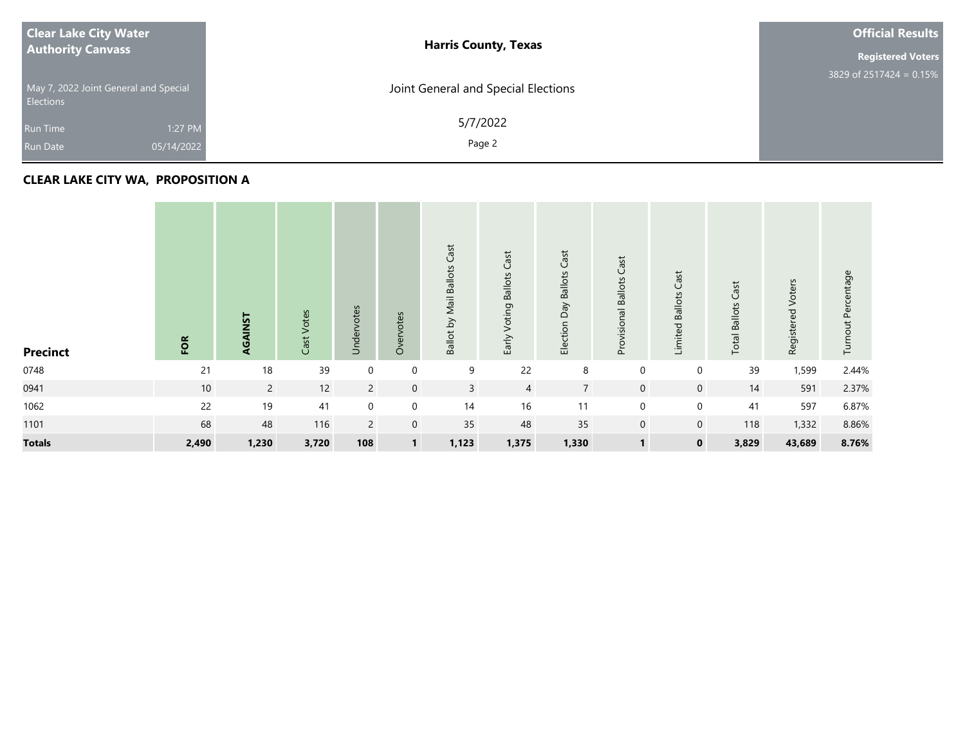| <b>Clear Lake City Water</b><br><b>Authority Canvass</b>  | <b>Harris County, Texas</b>         | <b>Official Results</b>    |
|-----------------------------------------------------------|-------------------------------------|----------------------------|
|                                                           |                                     | <b>Registered Voters</b>   |
| May 7, 2022 Joint General and Special<br><b>Elections</b> | Joint General and Special Elections | 3829 of 2517424 = $0.15\%$ |
| 1:27 PM<br><b>Run Time</b>                                | 5/7/2022                            |                            |
| 05/14/2022<br>Run Date                                    | Page 2                              |                            |

## **CLEAR LAKE CITY WA, PROPOSITION A**

| <b>Precinct</b> | FOR   | AGAINST     | Cast Votes | Undervotes     | Overvotes        | Ballot by Mail Ballots Cast | Voting Ballots Cast<br>Early <sup>-</sup> | Cast<br>Ballots<br>Election Day | Provisional Ballots Cast | Cast<br><b>Limited Ballots</b> | Cast<br><b>Total Ballots</b> | Voters<br>Registered | Turnout Percentage |
|-----------------|-------|-------------|------------|----------------|------------------|-----------------------------|-------------------------------------------|---------------------------------|--------------------------|--------------------------------|------------------------------|----------------------|--------------------|
| 0748            | 21    | 18          | 39         | $\mathbf 0$    | $\boldsymbol{0}$ | 9                           | 22                                        | 8                               | $\boldsymbol{0}$         | $\boldsymbol{0}$               | 39                           | 1,599                | 2.44%              |
| 0941            | 10    | $2^{\circ}$ | 12         | $\overline{2}$ | $\mathbf 0$      | $\mathsf{3}$                | $\overline{4}$                            | $\overline{7}$                  | $\mathbf 0$              | $\mathbf 0$                    | 14                           | 591                  | 2.37%              |
| 1062            | 22    | 19          | 41         | $\mathbf 0$    | $\mathbf 0$      | 14                          | 16                                        | 11                              | $\mathbf 0$              | $\mathbf 0$                    | 41                           | 597                  | 6.87%              |
| 1101            | 68    | 48          | 116        | $\overline{2}$ | $\mathbf 0$      | 35                          | 48                                        | 35                              | $\boldsymbol{0}$         | $\mathbf 0$                    | 118                          | 1,332                | 8.86%              |
| <b>Totals</b>   | 2,490 | 1,230       | 3,720      | 108            | $\mathbf{1}$     | 1,123                       | 1,375                                     | 1,330                           | $\mathbf{1}$             | $\mathbf 0$                    | 3,829                        | 43,689               | 8.76%              |